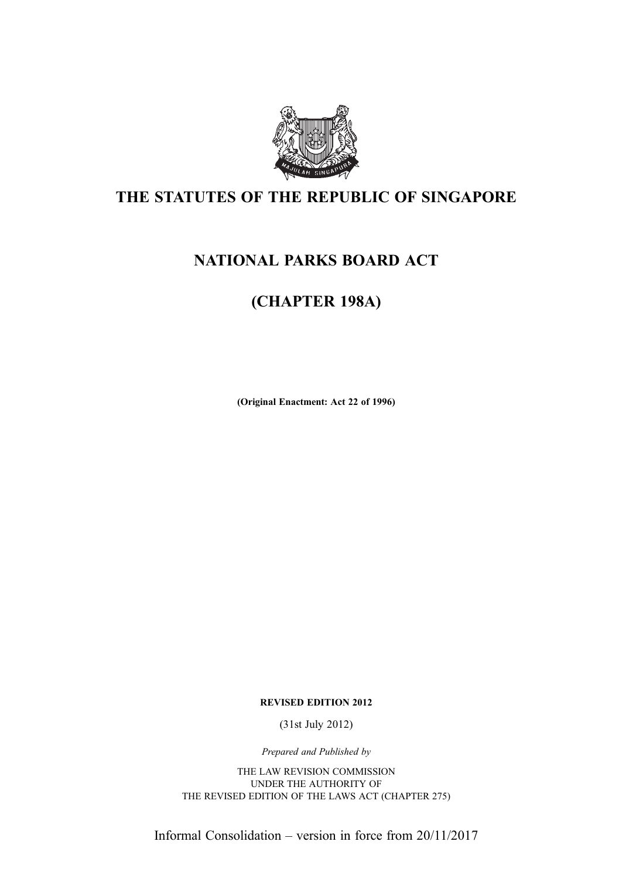

# THE STATUTES OF THE REPUBLIC OF SINGAPORE

# NATIONAL PARKS BOARD ACT

# (CHAPTER 198A)

(Original Enactment: Act 22 of 1996)

REVISED EDITION 2012

(31st July 2012)

Prepared and Published by

THE LAW REVISION COMMISSION UNDER THE AUTHORITY OF THE REVISED EDITION OF THE LAWS ACT (CHAPTER 275)

Informal Consolidation – version in force from 20/11/2017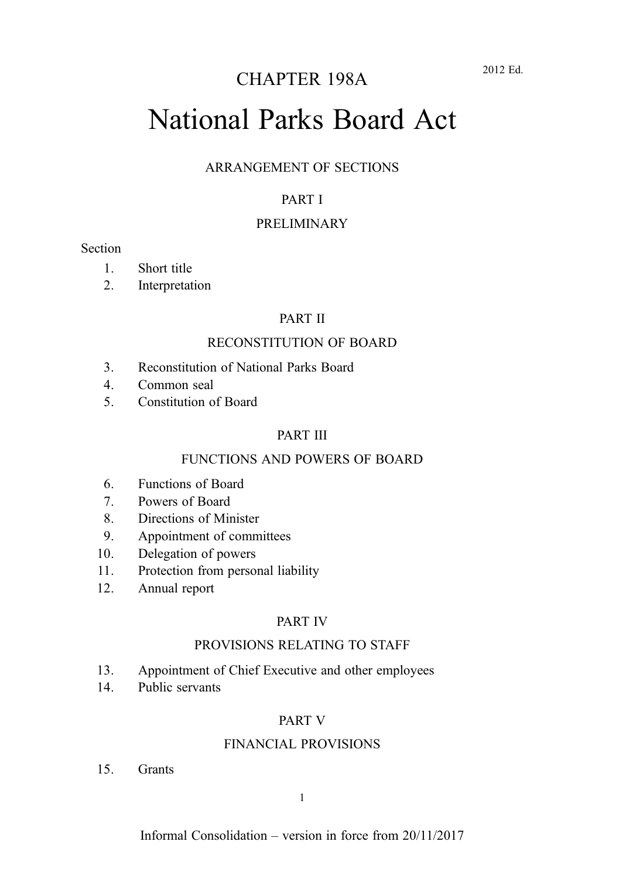# National Parks Board Act

#### ARRANGEMENT OF SECTIONS

#### PART I

#### PRELIMINARY

#### Section

- 1. Short title
- 2. Interpretation

#### PART II

#### RECONSTITUTION OF BOARD

- 3. Reconstitution of National Parks Board
- 4. Common seal
- 5. Constitution of Board

#### PART III

#### FUNCTIONS AND POWERS OF BOARD

- 6. Functions of Board
- 7. Powers of Board
- 8. Directions of Minister
- 9. Appointment of committees
- 10. Delegation of powers
- 11. Protection from personal liability
- 12. Annual report

#### PART IV

#### PROVISIONS RELATING TO STAFF

- 13. Appointment of Chief Executive and other employees
- 14. Public servants

#### PART V

#### FINANCIAL PROVISIONS

15. Grants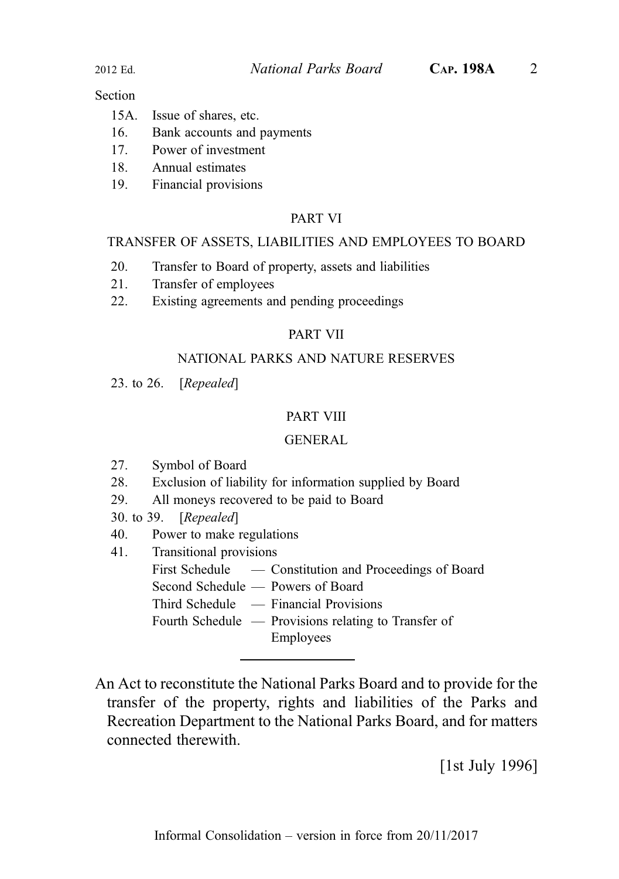#### **Section**

- 16. Bank accounts and payments
- 17. Power of investment
- 18. Annual estimates
- 19. Financial provisions

#### PART VI

#### TRANSFER OF ASSETS, LIABILITIES AND EMPLOYEES TO BOARD

- 20. Transfer to Board of property, assets and liabilities
- 21. Transfer of employees
- 22. Existing agreements and pending proceedings

#### PART VII

#### NATIONAL PARKS AND NATURE RESERVES

23. to 26. [Repealed]

#### PART VIII

#### GENERAL

- 27. Symbol of Board
- 28. Exclusion of liability for information supplied by Board
- 29. All moneys recovered to be paid to Board
- 30. to 39. [Repealed]
- 40. Power to make regulations
- 41. Transitional provisions
	- First Schedule Constitution and Proceedings of Board
	- Second Schedule Powers of Board
	- Third Schedule Financial Provisions

Fourth Schedule — Provisions relating to Transfer of Employees

An Act to reconstitute the National Parks Board and to provide for the transfer of the property, rights and liabilities of the Parks and Recreation Department to the National Parks Board, and for matters connected therewith.

[1st July 1996]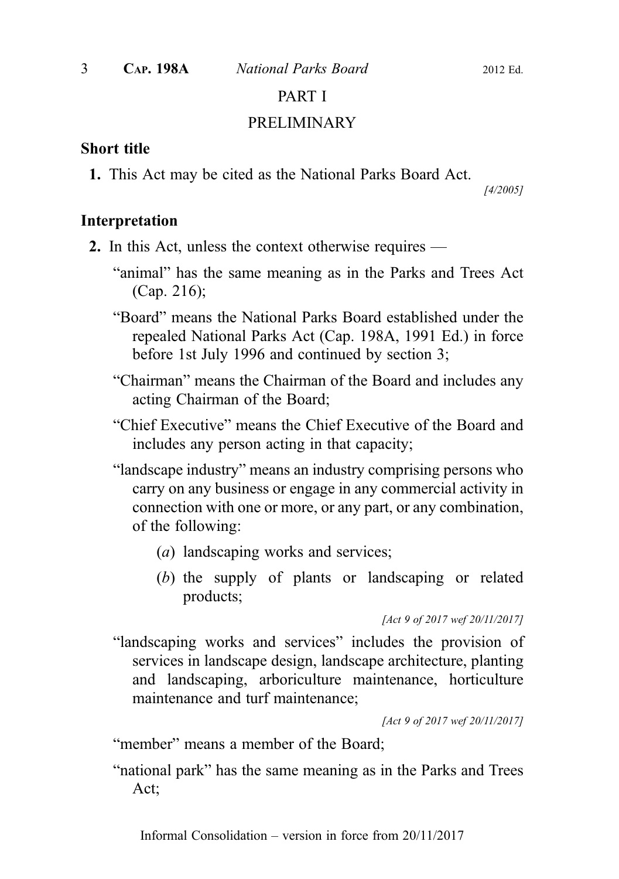### PART I

#### PRELIMINARY

#### Short title

1. This Act may be cited as the National Parks Board Act.

[4/2005]

#### Interpretation

- 2. In this Act, unless the context otherwise requires
	- "animal" has the same meaning as in the Parks and Trees Act (Cap. 216);
	- "Board" means the National Parks Board established under the repealed National Parks Act (Cap. 198A, 1991 Ed.) in force before 1st July 1996 and continued by section 3;
	- "Chairman" means the Chairman of the Board and includes any acting Chairman of the Board;
	- "Chief Executive" means the Chief Executive of the Board and includes any person acting in that capacity;
	- "landscape industry" means an industry comprising persons who carry on any business or engage in any commercial activity in connection with one or more, or any part, or any combination, of the following:
		- (a) landscaping works and services;
		- (b) the supply of plants or landscaping or related products;

[Act 9 of 2017 wef 20/11/2017]

"landscaping works and services" includes the provision of services in landscape design, landscape architecture, planting and landscaping, arboriculture maintenance, horticulture maintenance and turf maintenance;

[Act 9 of 2017 wef 20/11/2017]

"member" means a member of the Board;

"national park" has the same meaning as in the Parks and Trees Act;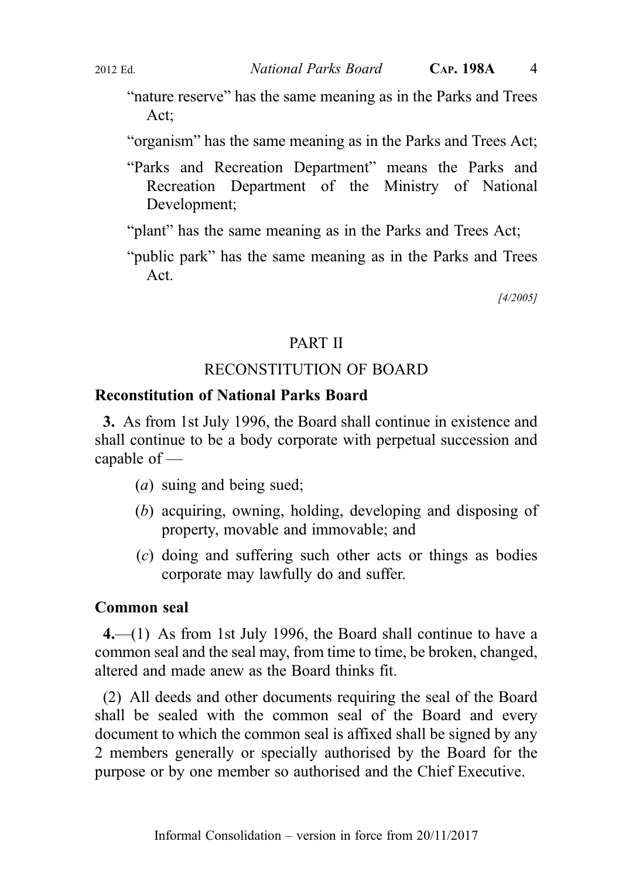- "nature reserve" has the same meaning as in the Parks and Trees Act;
- "organism" has the same meaning as in the Parks and Trees Act;
- "Parks and Recreation Department" means the Parks and Recreation Department of the Ministry of National Development;
- "plant" has the same meaning as in the Parks and Trees Act;
- "public park" has the same meaning as in the Parks and Trees Act.

[4/2005]

#### PART II

# RECONSTITUTION OF BOARD

### Reconstitution of National Parks Board

3. As from 1st July 1996, the Board shall continue in existence and shall continue to be a body corporate with perpetual succession and capable of —

- (a) suing and being sued;
- (b) acquiring, owning, holding, developing and disposing of property, movable and immovable; and
- (c) doing and suffering such other acts or things as bodies corporate may lawfully do and suffer.

#### Common seal

4.—(1) As from 1st July 1996, the Board shall continue to have a common seal and the seal may, from time to time, be broken, changed, altered and made anew as the Board thinks fit.

(2) All deeds and other documents requiring the seal of the Board shall be sealed with the common seal of the Board and every document to which the common seal is affixed shall be signed by any 2 members generally or specially authorised by the Board for the purpose or by one member so authorised and the Chief Executive.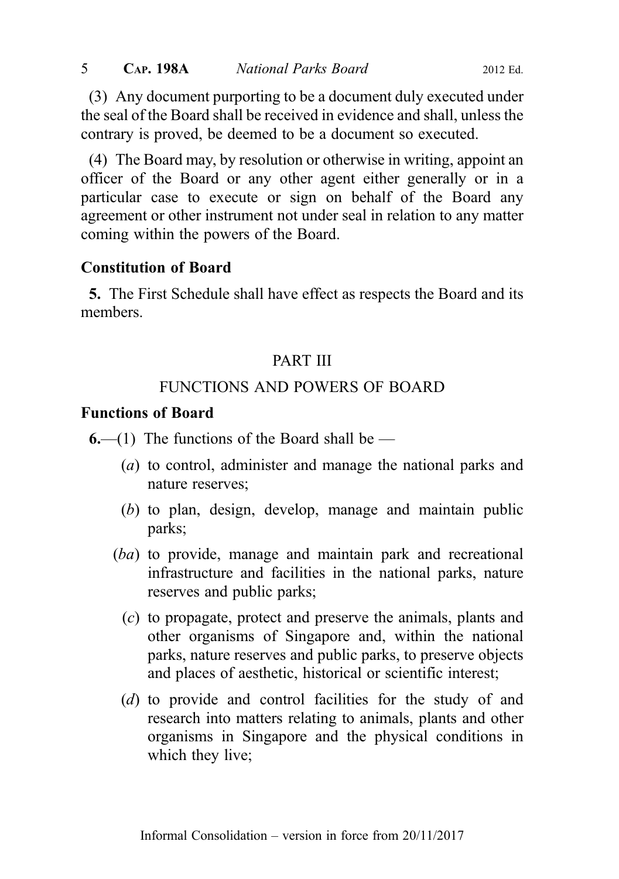(3) Any document purporting to be a document duly executed under the seal of the Board shall be received in evidence and shall, unless the contrary is proved, be deemed to be a document so executed.

(4) The Board may, by resolution or otherwise in writing, appoint an officer of the Board or any other agent either generally or in a particular case to execute or sign on behalf of the Board any agreement or other instrument not under seal in relation to any matter coming within the powers of the Board.

# Constitution of Board

5. The First Schedule shall have effect as respects the Board and its members.

# PART III

# FUNCTIONS AND POWERS OF BOARD

# Functions of Board

 $6$ —(1) The functions of the Board shall be —

- (a) to control, administer and manage the national parks and nature reserves;
- (b) to plan, design, develop, manage and maintain public parks;
- (ba) to provide, manage and maintain park and recreational infrastructure and facilities in the national parks, nature reserves and public parks;
	- (c) to propagate, protect and preserve the animals, plants and other organisms of Singapore and, within the national parks, nature reserves and public parks, to preserve objects and places of aesthetic, historical or scientific interest;
	- (d) to provide and control facilities for the study of and research into matters relating to animals, plants and other organisms in Singapore and the physical conditions in which they live;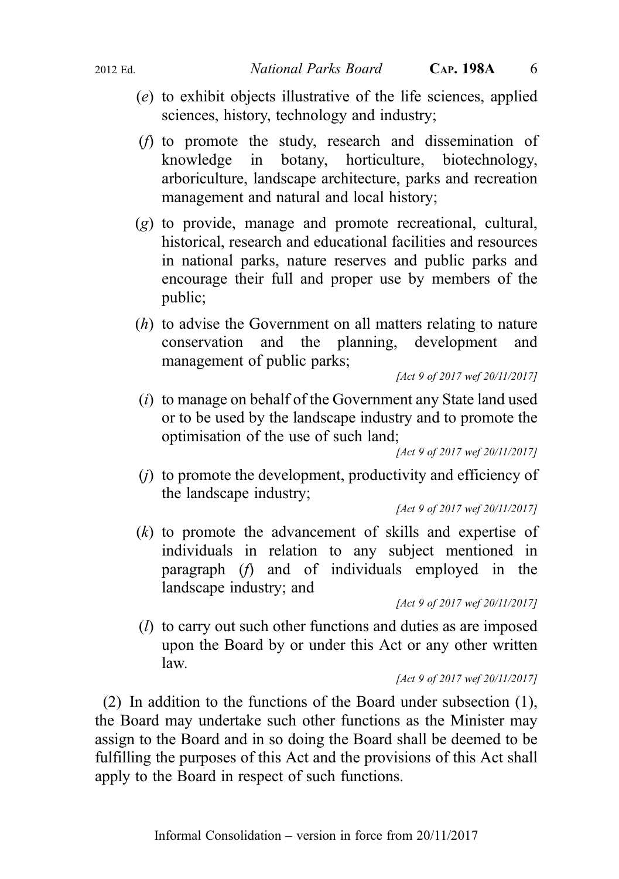- (e) to exhibit objects illustrative of the life sciences, applied sciences, history, technology and industry;
- (f) to promote the study, research and dissemination of knowledge in botany, horticulture, biotechnology, arboriculture, landscape architecture, parks and recreation management and natural and local history;
- (g) to provide, manage and promote recreational, cultural, historical, research and educational facilities and resources in national parks, nature reserves and public parks and encourage their full and proper use by members of the public;
- (h) to advise the Government on all matters relating to nature conservation and the planning, development and management of public parks;

[Act 9 of 2017 wef 20/11/2017]

(i) to manage on behalf of the Government any State land used or to be used by the landscape industry and to promote the optimisation of the use of such land;

[Act 9 of 2017 wef 20/11/2017]

(j) to promote the development, productivity and efficiency of the landscape industry;

[Act 9 of 2017 wef 20/11/2017]

(k) to promote the advancement of skills and expertise of individuals in relation to any subject mentioned in paragraph (f) and of individuals employed in the landscape industry; and

[Act 9 of 2017 wef 20/11/2017]

(l) to carry out such other functions and duties as are imposed upon the Board by or under this Act or any other written law.

[Act 9 of 2017 wef 20/11/2017]

(2) In addition to the functions of the Board under subsection (1), the Board may undertake such other functions as the Minister may assign to the Board and in so doing the Board shall be deemed to be fulfilling the purposes of this Act and the provisions of this Act shall apply to the Board in respect of such functions.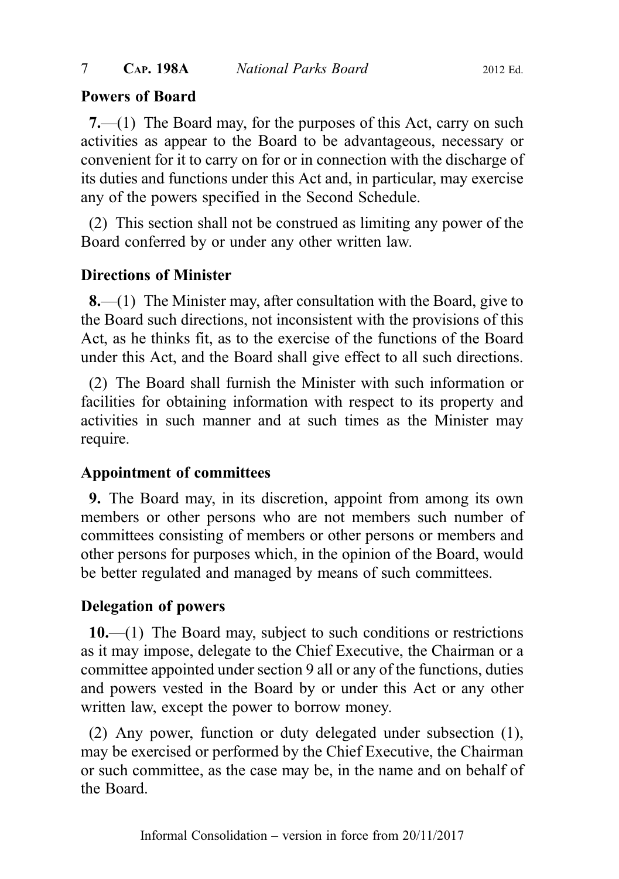# Powers of Board

7.—(1) The Board may, for the purposes of this Act, carry on such activities as appear to the Board to be advantageous, necessary or convenient for it to carry on for or in connection with the discharge of its duties and functions under this Act and, in particular, may exercise any of the powers specified in the Second Schedule.

(2) This section shall not be construed as limiting any power of the Board conferred by or under any other written law.

# Directions of Minister

8.—(1) The Minister may, after consultation with the Board, give to the Board such directions, not inconsistent with the provisions of this Act, as he thinks fit, as to the exercise of the functions of the Board under this Act, and the Board shall give effect to all such directions.

(2) The Board shall furnish the Minister with such information or facilities for obtaining information with respect to its property and activities in such manner and at such times as the Minister may require.

# Appointment of committees

9. The Board may, in its discretion, appoint from among its own members or other persons who are not members such number of committees consisting of members or other persons or members and other persons for purposes which, in the opinion of the Board, would be better regulated and managed by means of such committees.

# Delegation of powers

10.—(1) The Board may, subject to such conditions or restrictions as it may impose, delegate to the Chief Executive, the Chairman or a committee appointed under section 9 all or any of the functions, duties and powers vested in the Board by or under this Act or any other written law, except the power to borrow money.

(2) Any power, function or duty delegated under subsection (1), may be exercised or performed by the Chief Executive, the Chairman or such committee, as the case may be, in the name and on behalf of the Board.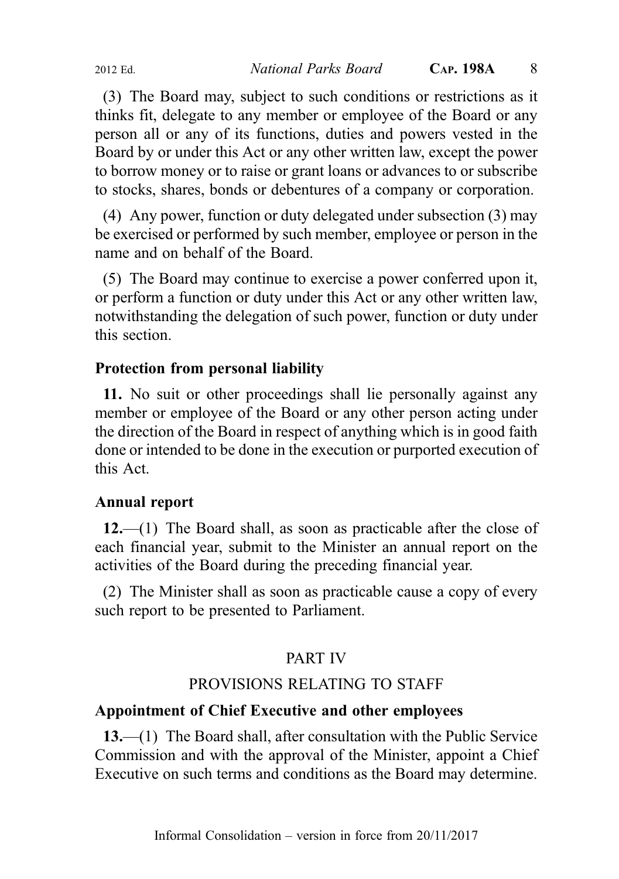(3) The Board may, subject to such conditions or restrictions as it thinks fit, delegate to any member or employee of the Board or any person all or any of its functions, duties and powers vested in the Board by or under this Act or any other written law, except the power to borrow money or to raise or grant loans or advances to or subscribe to stocks, shares, bonds or debentures of a company or corporation.

(4) Any power, function or duty delegated under subsection (3) may be exercised or performed by such member, employee or person in the name and on behalf of the Board.

(5) The Board may continue to exercise a power conferred upon it, or perform a function or duty under this Act or any other written law, notwithstanding the delegation of such power, function or duty under this section.

# Protection from personal liability

11. No suit or other proceedings shall lie personally against any member or employee of the Board or any other person acting under the direction of the Board in respect of anything which is in good faith done or intended to be done in the execution or purported execution of this Act.

# Annual report

12.—(1) The Board shall, as soon as practicable after the close of each financial year, submit to the Minister an annual report on the activities of the Board during the preceding financial year.

(2) The Minister shall as soon as practicable cause a copy of every such report to be presented to Parliament.

# PART IV

# PROVISIONS RELATING TO STAFF

# Appointment of Chief Executive and other employees

13.—(1) The Board shall, after consultation with the Public Service Commission and with the approval of the Minister, appoint a Chief Executive on such terms and conditions as the Board may determine.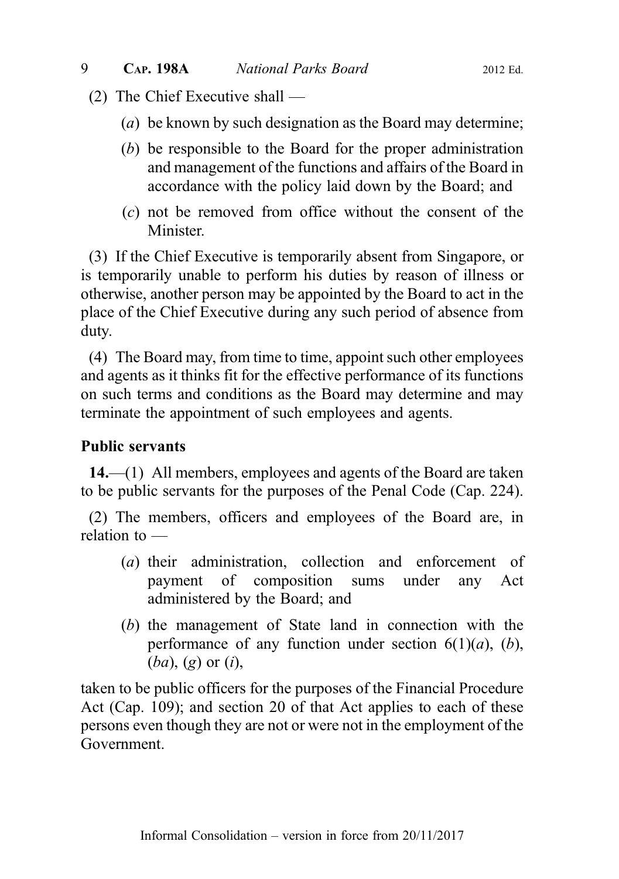- (2) The Chief Executive shall
	- (a) be known by such designation as the Board may determine;
	- (b) be responsible to the Board for the proper administration and management of the functions and affairs of the Board in accordance with the policy laid down by the Board; and
	- (c) not be removed from office without the consent of the Minister.

(3) If the Chief Executive is temporarily absent from Singapore, or is temporarily unable to perform his duties by reason of illness or otherwise, another person may be appointed by the Board to act in the place of the Chief Executive during any such period of absence from duty.

(4) The Board may, from time to time, appoint such other employees and agents as it thinks fit for the effective performance of its functions on such terms and conditions as the Board may determine and may terminate the appointment of such employees and agents.

# Public servants

14.—(1) All members, employees and agents of the Board are taken to be public servants for the purposes of the Penal Code (Cap. 224).

(2) The members, officers and employees of the Board are, in relation to —

- (a) their administration, collection and enforcement of payment of composition sums under any Act administered by the Board; and
- (b) the management of State land in connection with the performance of any function under section  $6(1)(a)$ ,  $(b)$ ,  $(ba)$ ,  $(g)$  or  $(i)$ ,

taken to be public officers for the purposes of the Financial Procedure Act (Cap. 109); and section 20 of that Act applies to each of these persons even though they are not or were not in the employment of the Government.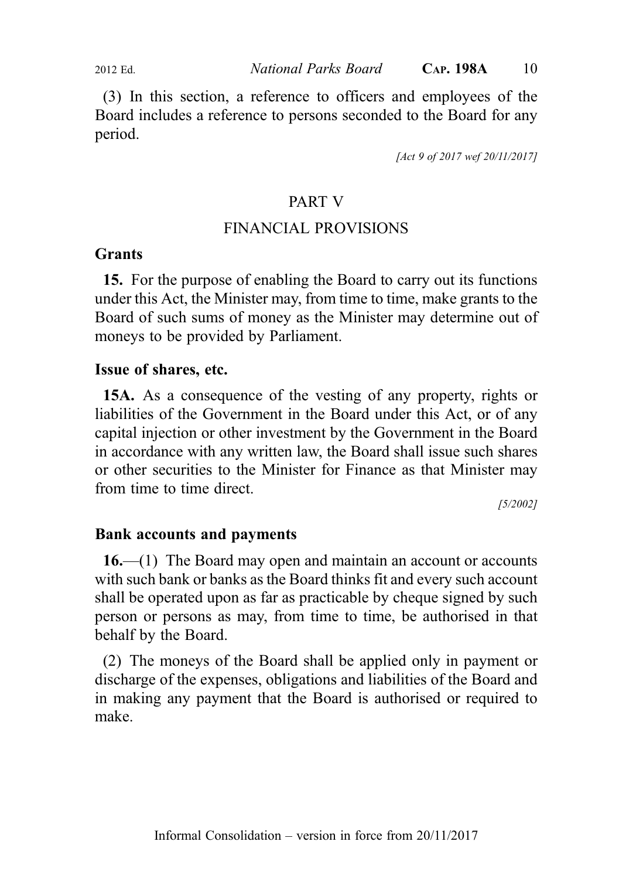2012 Ed. National Parks Board CAP. 198A 10

(3) In this section, a reference to officers and employees of the Board includes a reference to persons seconded to the Board for any period.

[Act 9 of 2017 wef 20/11/2017]

### PART V

# FINANCIAL PROVISIONS

#### Grants

15. For the purpose of enabling the Board to carry out its functions under this Act, the Minister may, from time to time, make grants to the Board of such sums of money as the Minister may determine out of moneys to be provided by Parliament.

#### Issue of shares, etc.

15A. As a consequence of the vesting of any property, rights or liabilities of the Government in the Board under this Act, or of any capital injection or other investment by the Government in the Board in accordance with any written law, the Board shall issue such shares or other securities to the Minister for Finance as that Minister may from time to time direct.

[5/2002]

#### Bank accounts and payments

16.—(1) The Board may open and maintain an account or accounts with such bank or banks as the Board thinks fit and every such account shall be operated upon as far as practicable by cheque signed by such person or persons as may, from time to time, be authorised in that behalf by the Board.

(2) The moneys of the Board shall be applied only in payment or discharge of the expenses, obligations and liabilities of the Board and in making any payment that the Board is authorised or required to make.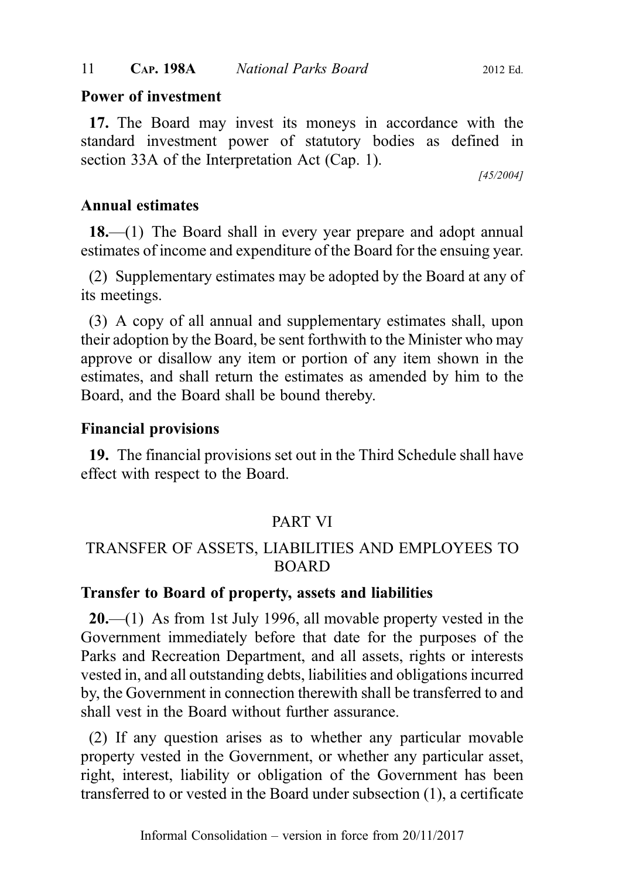# Power of investment

17. The Board may invest its moneys in accordance with the standard investment power of statutory bodies as defined in section 33A of the Interpretation Act (Cap. 1).

[45/2004]

# Annual estimates

18.—(1) The Board shall in every year prepare and adopt annual estimates of income and expenditure of the Board for the ensuing year.

(2) Supplementary estimates may be adopted by the Board at any of its meetings.

(3) A copy of all annual and supplementary estimates shall, upon their adoption by the Board, be sent forthwith to the Minister who may approve or disallow any item or portion of any item shown in the estimates, and shall return the estimates as amended by him to the Board, and the Board shall be bound thereby.

# Financial provisions

19. The financial provisions set out in the Third Schedule shall have effect with respect to the Board.

# PART VI

# TRANSFER OF ASSETS, LIABILITIES AND EMPLOYEES TO BOARD

#### Transfer to Board of property, assets and liabilities

20.—(1) As from 1st July 1996, all movable property vested in the Government immediately before that date for the purposes of the Parks and Recreation Department, and all assets, rights or interests vested in, and all outstanding debts, liabilities and obligations incurred by, the Government in connection therewith shall be transferred to and shall vest in the Board without further assurance.

(2) If any question arises as to whether any particular movable property vested in the Government, or whether any particular asset, right, interest, liability or obligation of the Government has been transferred to or vested in the Board under subsection (1), a certificate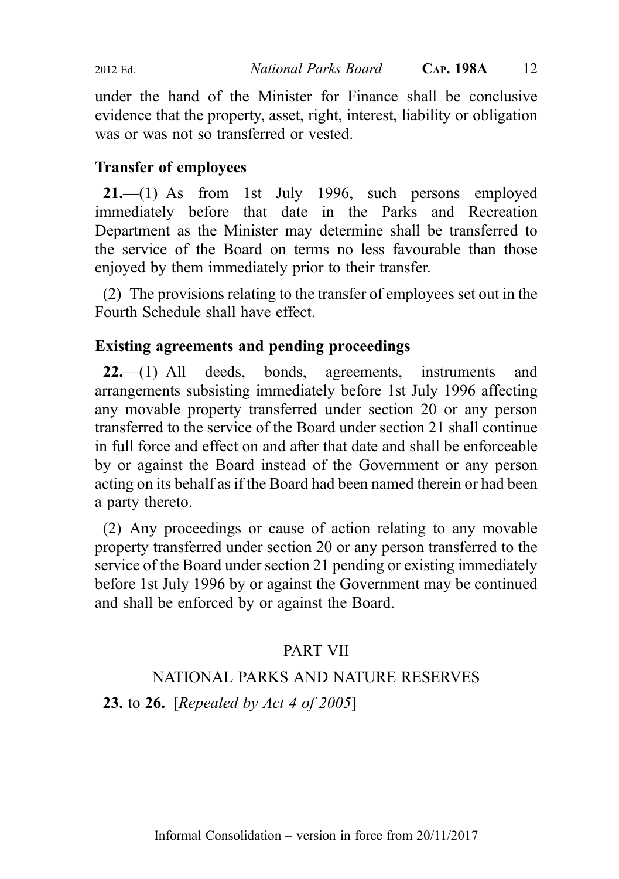under the hand of the Minister for Finance shall be conclusive evidence that the property, asset, right, interest, liability or obligation was or was not so transferred or vested.

# Transfer of employees

21.—(1) As from 1st July 1996, such persons employed immediately before that date in the Parks and Recreation Department as the Minister may determine shall be transferred to the service of the Board on terms no less favourable than those enjoyed by them immediately prior to their transfer.

(2) The provisions relating to the transfer of employees set out in the Fourth Schedule shall have effect.

# Existing agreements and pending proceedings

22.—(1) All deeds, bonds, agreements, instruments and arrangements subsisting immediately before 1st July 1996 affecting any movable property transferred under section 20 or any person transferred to the service of the Board under section 21 shall continue in full force and effect on and after that date and shall be enforceable by or against the Board instead of the Government or any person acting on its behalf as if the Board had been named therein or had been a party thereto.

(2) Any proceedings or cause of action relating to any movable property transferred under section 20 or any person transferred to the service of the Board under section 21 pending or existing immediately before 1st July 1996 by or against the Government may be continued and shall be enforced by or against the Board.

# PART VII

# NATIONAL PARKS AND NATURE RESERVES

**23.** to **26.** [Repealed by Act 4 of 2005]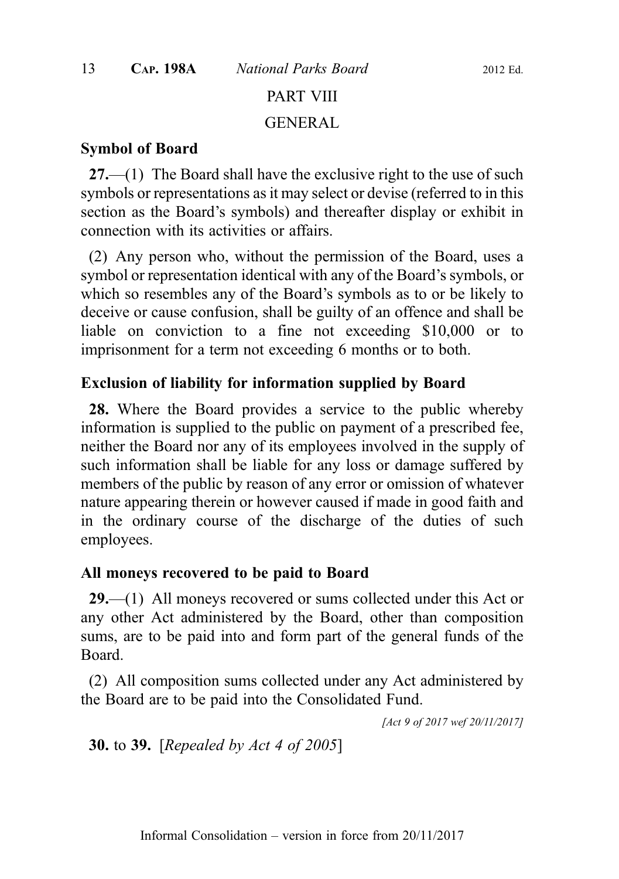# PART VIII

#### GENERAL

#### Symbol of Board

 $27$ —(1) The Board shall have the exclusive right to the use of such symbols or representations as it may select or devise (referred to in this section as the Board's symbols) and thereafter display or exhibit in connection with its activities or affairs.

(2) Any person who, without the permission of the Board, uses a symbol or representation identical with any of the Board's symbols, or which so resembles any of the Board's symbols as to or be likely to deceive or cause confusion, shall be guilty of an offence and shall be liable on conviction to a fine not exceeding \$10,000 or to imprisonment for a term not exceeding 6 months or to both.

#### Exclusion of liability for information supplied by Board

28. Where the Board provides a service to the public whereby information is supplied to the public on payment of a prescribed fee, neither the Board nor any of its employees involved in the supply of such information shall be liable for any loss or damage suffered by members of the public by reason of any error or omission of whatever nature appearing therein or however caused if made in good faith and in the ordinary course of the discharge of the duties of such employees.

#### All moneys recovered to be paid to Board

29.—(1) All moneys recovered or sums collected under this Act or any other Act administered by the Board, other than composition sums, are to be paid into and form part of the general funds of the Board.

(2) All composition sums collected under any Act administered by the Board are to be paid into the Consolidated Fund.

[Act 9 of 2017 wef 20/11/2017]

30. to 39. [Repealed by Act 4 of 2005]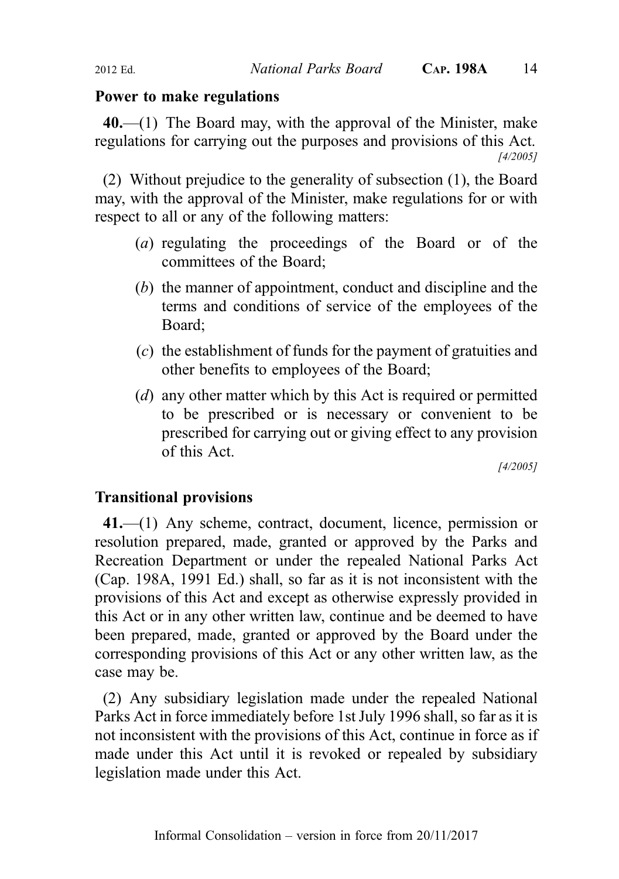#### Power to make regulations

 $40$ ,—(1) The Board may, with the approval of the Minister, make regulations for carrying out the purposes and provisions of this Act. [4/2005]

(2) Without prejudice to the generality of subsection (1), the Board may, with the approval of the Minister, make regulations for or with respect to all or any of the following matters:

- (a) regulating the proceedings of the Board or of the committees of the Board;
- (b) the manner of appointment, conduct and discipline and the terms and conditions of service of the employees of the Board;
- (c) the establishment of funds for the payment of gratuities and other benefits to employees of the Board;
- (*d*) any other matter which by this Act is required or permitted to be prescribed or is necessary or convenient to be prescribed for carrying out or giving effect to any provision of this Act.

[4/2005]

#### Transitional provisions

41.—(1) Any scheme, contract, document, licence, permission or resolution prepared, made, granted or approved by the Parks and Recreation Department or under the repealed National Parks Act (Cap. 198A, 1991 Ed.) shall, so far as it is not inconsistent with the provisions of this Act and except as otherwise expressly provided in this Act or in any other written law, continue and be deemed to have been prepared, made, granted or approved by the Board under the corresponding provisions of this Act or any other written law, as the case may be.

(2) Any subsidiary legislation made under the repealed National Parks Act in force immediately before 1st July 1996 shall, so far as it is not inconsistent with the provisions of this Act, continue in force as if made under this Act until it is revoked or repealed by subsidiary legislation made under this Act.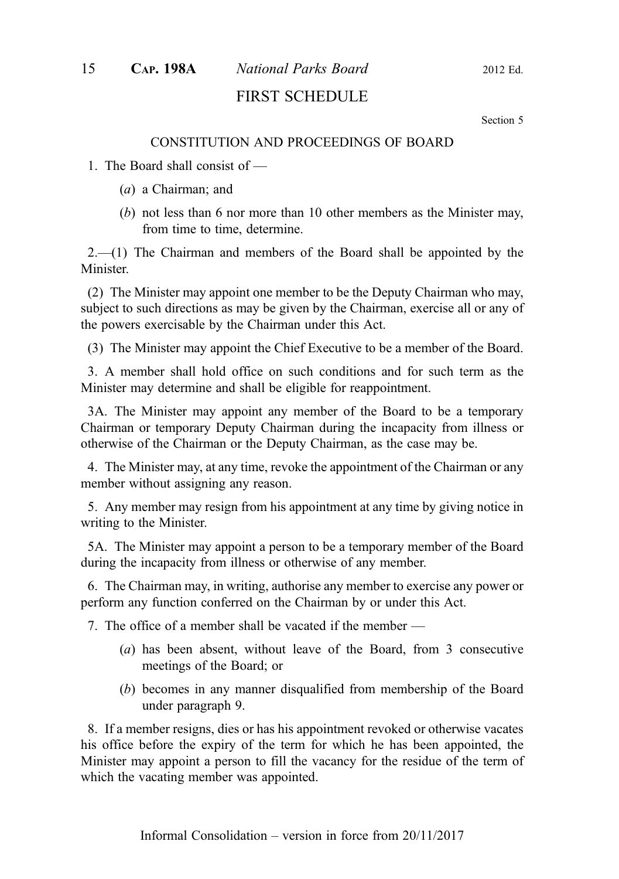# 15 CAP. 198A National Parks Board 2012 Ed.

# FIRST SCHEDULE

Section 5

#### CONSTITUTION AND PROCEEDINGS OF BOARD

#### 1. The Board shall consist of —

- (a) a Chairman; and
- (b) not less than 6 nor more than 10 other members as the Minister may, from time to time, determine.

 $2.-(1)$  The Chairman and members of the Board shall be appointed by the Minister.

(2) The Minister may appoint one member to be the Deputy Chairman who may, subject to such directions as may be given by the Chairman, exercise all or any of the powers exercisable by the Chairman under this Act.

(3) The Minister may appoint the Chief Executive to be a member of the Board.

3. A member shall hold office on such conditions and for such term as the Minister may determine and shall be eligible for reappointment.

3A. The Minister may appoint any member of the Board to be a temporary Chairman or temporary Deputy Chairman during the incapacity from illness or otherwise of the Chairman or the Deputy Chairman, as the case may be.

4. The Minister may, at any time, revoke the appointment of the Chairman or any member without assigning any reason.

5. Any member may resign from his appointment at any time by giving notice in writing to the Minister.

5A. The Minister may appoint a person to be a temporary member of the Board during the incapacity from illness or otherwise of any member.

6. The Chairman may, in writing, authorise any member to exercise any power or perform any function conferred on the Chairman by or under this Act.

7. The office of a member shall be vacated if the member —

- (a) has been absent, without leave of the Board, from 3 consecutive meetings of the Board; or
- (b) becomes in any manner disqualified from membership of the Board under paragraph 9.

8. If a member resigns, dies or has his appointment revoked or otherwise vacates his office before the expiry of the term for which he has been appointed, the Minister may appoint a person to fill the vacancy for the residue of the term of which the vacating member was appointed.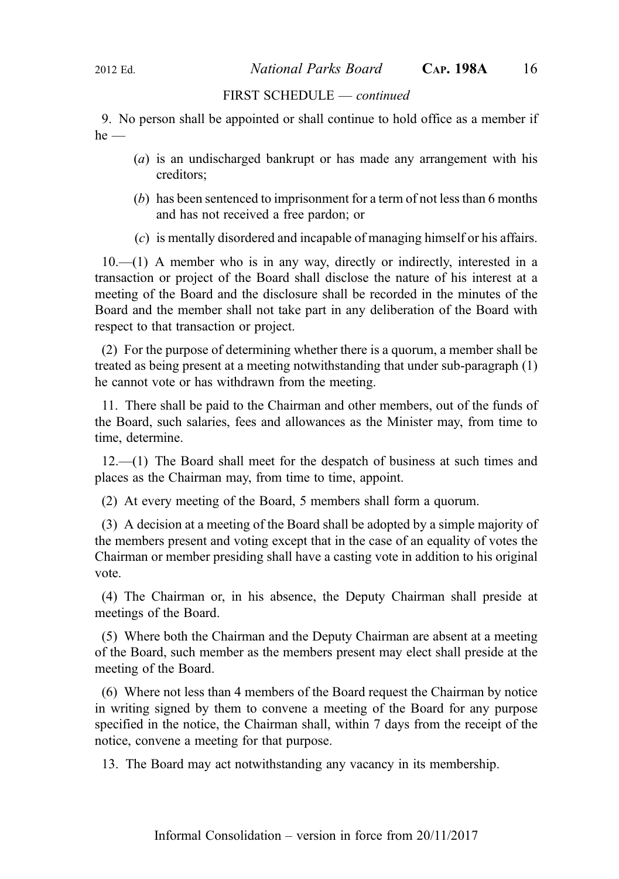2012 Ed. National Parks Board CAP. 198A 16

#### FIRST SCHEDULE — continued

9. No person shall be appointed or shall continue to hold office as a member if  $he$  —

- (a) is an undischarged bankrupt or has made any arrangement with his creditors;
- (b) has been sentenced to imprisonment for a term of not less than 6 months and has not received a free pardon; or
- (c) is mentally disordered and incapable of managing himself or his affairs.

10.—(1) A member who is in any way, directly or indirectly, interested in a transaction or project of the Board shall disclose the nature of his interest at a meeting of the Board and the disclosure shall be recorded in the minutes of the Board and the member shall not take part in any deliberation of the Board with respect to that transaction or project.

(2) For the purpose of determining whether there is a quorum, a member shall be treated as being present at a meeting notwithstanding that under sub-paragraph (1) he cannot vote or has withdrawn from the meeting.

11. There shall be paid to the Chairman and other members, out of the funds of the Board, such salaries, fees and allowances as the Minister may, from time to time, determine.

12.—(1) The Board shall meet for the despatch of business at such times and places as the Chairman may, from time to time, appoint.

(2) At every meeting of the Board, 5 members shall form a quorum.

(3) A decision at a meeting of the Board shall be adopted by a simple majority of the members present and voting except that in the case of an equality of votes the Chairman or member presiding shall have a casting vote in addition to his original vote.

(4) The Chairman or, in his absence, the Deputy Chairman shall preside at meetings of the Board.

(5) Where both the Chairman and the Deputy Chairman are absent at a meeting of the Board, such member as the members present may elect shall preside at the meeting of the Board.

(6) Where not less than 4 members of the Board request the Chairman by notice in writing signed by them to convene a meeting of the Board for any purpose specified in the notice, the Chairman shall, within 7 days from the receipt of the notice, convene a meeting for that purpose.

13. The Board may act notwithstanding any vacancy in its membership.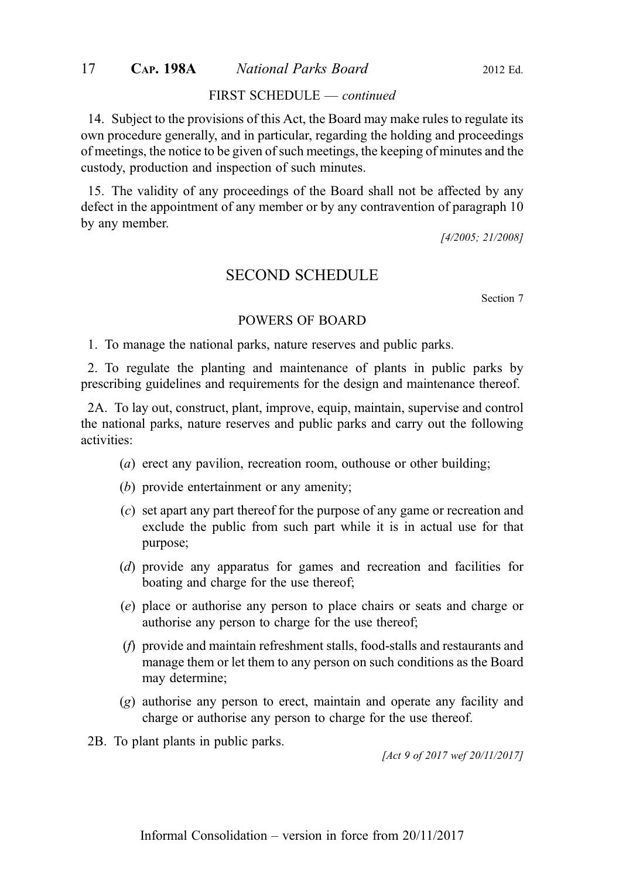#### 17 CAP. 198A National Parks Board 2012 Ed.

#### FIRST SCHEDULE — continued

14. Subject to the provisions of this Act, the Board may make rules to regulate its own procedure generally, and in particular, regarding the holding and proceedings of meetings, the notice to be given of such meetings, the keeping of minutes and the custody, production and inspection of such minutes.

15. The validity of any proceedings of the Board shall not be affected by any defect in the appointment of any member or by any contravention of paragraph 10 by any member.

[4/2005; 21/2008]

#### SECOND SCHEDULE

Section 7

#### POWERS OF BOARD

1. To manage the national parks, nature reserves and public parks.

2. To regulate the planting and maintenance of plants in public parks by prescribing guidelines and requirements for the design and maintenance thereof.

2A. To lay out, construct, plant, improve, equip, maintain, supervise and control the national parks, nature reserves and public parks and carry out the following activities:

- (a) erect any pavilion, recreation room, outhouse or other building;
- (b) provide entertainment or any amenity;
- (c) set apart any part thereof for the purpose of any game or recreation and exclude the public from such part while it is in actual use for that purpose;
- (d) provide any apparatus for games and recreation and facilities for boating and charge for the use thereof;
- (e) place or authorise any person to place chairs or seats and charge or authorise any person to charge for the use thereof;
- (f) provide and maintain refreshment stalls, food-stalls and restaurants and manage them or let them to any person on such conditions as the Board may determine;
- (g) authorise any person to erect, maintain and operate any facility and charge or authorise any person to charge for the use thereof.
- 2B. To plant plants in public parks.

[Act 9 of 2017 wef 20/11/2017]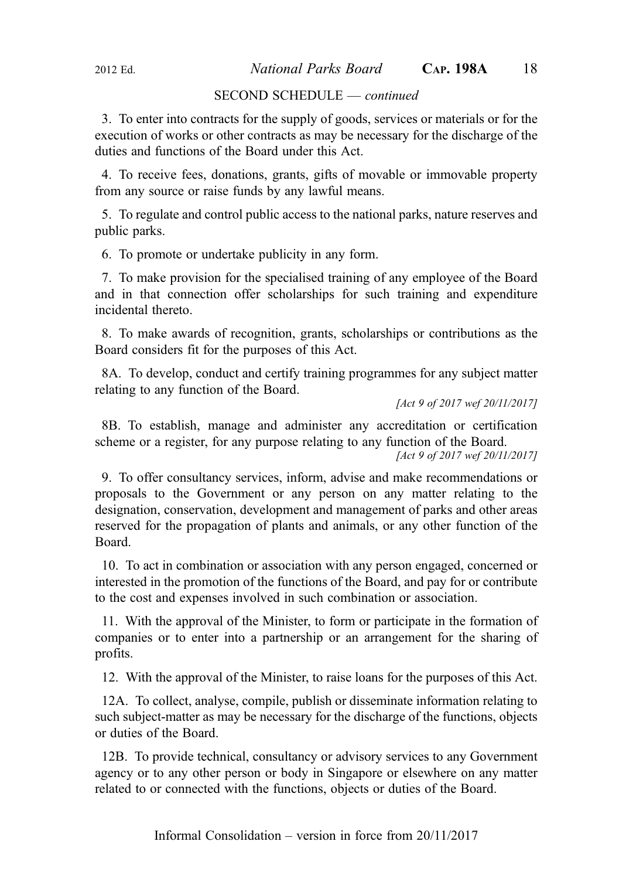#### SECOND SCHEDULE — continued

3. To enter into contracts for the supply of goods, services or materials or for the execution of works or other contracts as may be necessary for the discharge of the duties and functions of the Board under this Act.

4. To receive fees, donations, grants, gifts of movable or immovable property from any source or raise funds by any lawful means.

5. To regulate and control public access to the national parks, nature reserves and public parks.

6. To promote or undertake publicity in any form.

7. To make provision for the specialised training of any employee of the Board and in that connection offer scholarships for such training and expenditure incidental thereto.

8. To make awards of recognition, grants, scholarships or contributions as the Board considers fit for the purposes of this Act.

8A. To develop, conduct and certify training programmes for any subject matter relating to any function of the Board.

[Act 9 of 2017 wef 20/11/2017]

8B. To establish, manage and administer any accreditation or certification scheme or a register, for any purpose relating to any function of the Board.

[Act 9 of 2017 wef 20/11/2017]

9. To offer consultancy services, inform, advise and make recommendations or proposals to the Government or any person on any matter relating to the designation, conservation, development and management of parks and other areas reserved for the propagation of plants and animals, or any other function of the Board.

10. To act in combination or association with any person engaged, concerned or interested in the promotion of the functions of the Board, and pay for or contribute to the cost and expenses involved in such combination or association.

11. With the approval of the Minister, to form or participate in the formation of companies or to enter into a partnership or an arrangement for the sharing of profits.

12. With the approval of the Minister, to raise loans for the purposes of this Act.

12A. To collect, analyse, compile, publish or disseminate information relating to such subject-matter as may be necessary for the discharge of the functions, objects or duties of the Board.

12B. To provide technical, consultancy or advisory services to any Government agency or to any other person or body in Singapore or elsewhere on any matter related to or connected with the functions, objects or duties of the Board.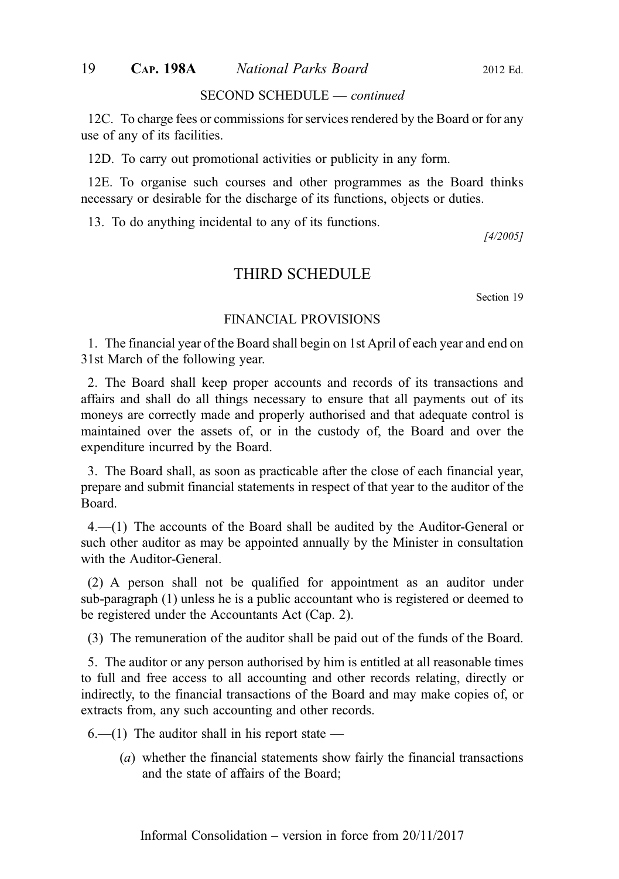#### 19 CAP. 198A National Parks Board 2012 Ed.

#### SECOND SCHEDULE — continued

12C. To charge fees or commissions for services rendered by the Board or for any use of any of its facilities.

12D. To carry out promotional activities or publicity in any form.

12E. To organise such courses and other programmes as the Board thinks necessary or desirable for the discharge of its functions, objects or duties.

13. To do anything incidental to any of its functions.

[4/2005]

#### THIRD SCHEDULE

Section 19

#### FINANCIAL PROVISIONS

1. The financial year of the Board shall begin on 1st April of each year and end on 31st March of the following year.

2. The Board shall keep proper accounts and records of its transactions and affairs and shall do all things necessary to ensure that all payments out of its moneys are correctly made and properly authorised and that adequate control is maintained over the assets of, or in the custody of, the Board and over the expenditure incurred by the Board.

3. The Board shall, as soon as practicable after the close of each financial year, prepare and submit financial statements in respect of that year to the auditor of the Board.

4.—(1) The accounts of the Board shall be audited by the Auditor-General or such other auditor as may be appointed annually by the Minister in consultation with the Auditor-General.

(2) A person shall not be qualified for appointment as an auditor under sub‑paragraph (1) unless he is a public accountant who is registered or deemed to be registered under the Accountants Act (Cap. 2).

(3) The remuneration of the auditor shall be paid out of the funds of the Board.

5. The auditor or any person authorised by him is entitled at all reasonable times to full and free access to all accounting and other records relating, directly or indirectly, to the financial transactions of the Board and may make copies of, or extracts from, any such accounting and other records.

 $6-(1)$  The auditor shall in his report state —

(a) whether the financial statements show fairly the financial transactions and the state of affairs of the Board;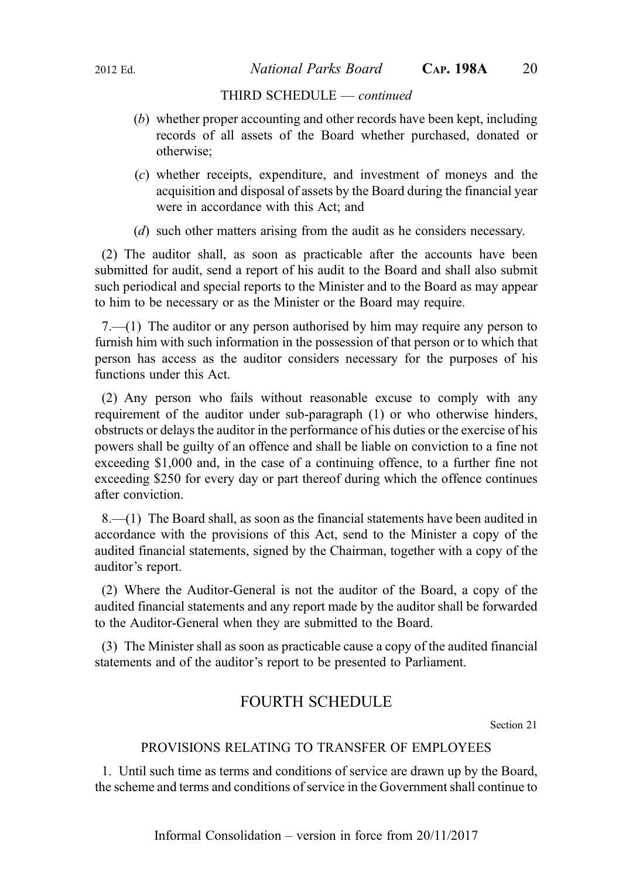#### THIRD SCHEDULE — continued

- (b) whether proper accounting and other records have been kept, including records of all assets of the Board whether purchased, donated or otherwise;
- (c) whether receipts, expenditure, and investment of moneys and the acquisition and disposal of assets by the Board during the financial year were in accordance with this Act; and
- (d) such other matters arising from the audit as he considers necessary.

(2) The auditor shall, as soon as practicable after the accounts have been submitted for audit, send a report of his audit to the Board and shall also submit such periodical and special reports to the Minister and to the Board as may appear to him to be necessary or as the Minister or the Board may require.

7.—(1) The auditor or any person authorised by him may require any person to furnish him with such information in the possession of that person or to which that person has access as the auditor considers necessary for the purposes of his functions under this Act.

(2) Any person who fails without reasonable excuse to comply with any requirement of the auditor under sub-paragraph (1) or who otherwise hinders, obstructs or delays the auditor in the performance of his duties or the exercise of his powers shall be guilty of an offence and shall be liable on conviction to a fine not exceeding \$1,000 and, in the case of a continuing offence, to a further fine not exceeding \$250 for every day or part thereof during which the offence continues after conviction.

8.—(1) The Board shall, as soon as the financial statements have been audited in accordance with the provisions of this Act, send to the Minister a copy of the audited financial statements, signed by the Chairman, together with a copy of the auditor's report.

(2) Where the Auditor-General is not the auditor of the Board, a copy of the audited financial statements and any report made by the auditor shall be forwarded to the Auditor-General when they are submitted to the Board.

(3) The Minister shall as soon as practicable cause a copy of the audited financial statements and of the auditor's report to be presented to Parliament.

# FOURTH SCHEDULE

Section 21

#### PROVISIONS RELATING TO TRANSFER OF EMPLOYEES

1. Until such time as terms and conditions of service are drawn up by the Board, the scheme and terms and conditions of service in the Government shall continue to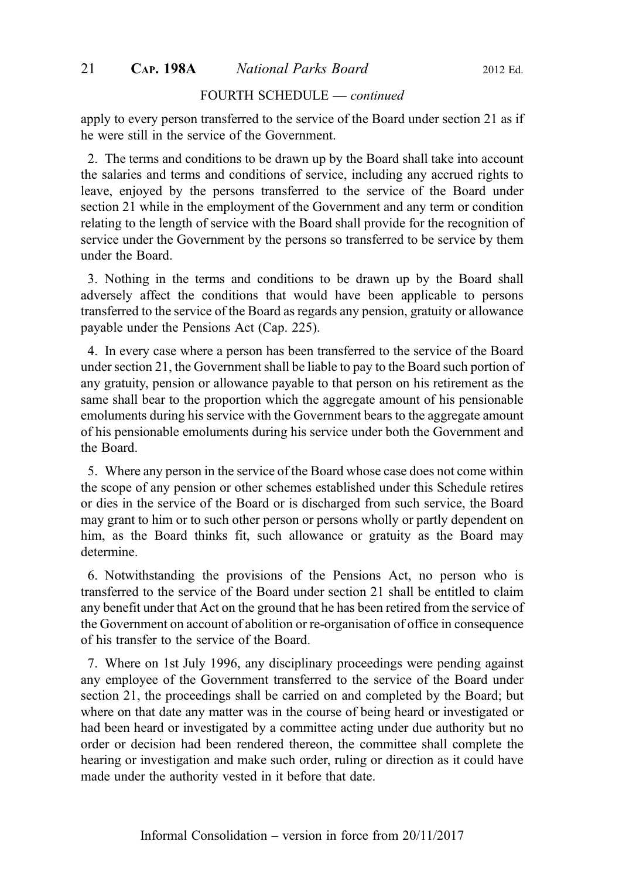#### 21 **CAP. 198A** *National Parks Board* 2012 Ed.

#### FOURTH SCHEDULE — continued

apply to every person transferred to the service of the Board under section 21 as if he were still in the service of the Government.

2. The terms and conditions to be drawn up by the Board shall take into account the salaries and terms and conditions of service, including any accrued rights to leave, enjoyed by the persons transferred to the service of the Board under section 21 while in the employment of the Government and any term or condition relating to the length of service with the Board shall provide for the recognition of service under the Government by the persons so transferred to be service by them under the Board.

3. Nothing in the terms and conditions to be drawn up by the Board shall adversely affect the conditions that would have been applicable to persons transferred to the service of the Board as regards any pension, gratuity or allowance payable under the Pensions Act (Cap. 225).

4. In every case where a person has been transferred to the service of the Board under section 21, the Government shall be liable to pay to the Board such portion of any gratuity, pension or allowance payable to that person on his retirement as the same shall bear to the proportion which the aggregate amount of his pensionable emoluments during his service with the Government bears to the aggregate amount of his pensionable emoluments during his service under both the Government and the Board.

5. Where any person in the service of the Board whose case does not come within the scope of any pension or other schemes established under this Schedule retires or dies in the service of the Board or is discharged from such service, the Board may grant to him or to such other person or persons wholly or partly dependent on him, as the Board thinks fit, such allowance or gratuity as the Board may determine.

6. Notwithstanding the provisions of the Pensions Act, no person who is transferred to the service of the Board under section 21 shall be entitled to claim any benefit under that Act on the ground that he has been retired from the service of the Government on account of abolition or re-organisation of office in consequence of his transfer to the service of the Board.

7. Where on 1st July 1996, any disciplinary proceedings were pending against any employee of the Government transferred to the service of the Board under section 21, the proceedings shall be carried on and completed by the Board; but where on that date any matter was in the course of being heard or investigated or had been heard or investigated by a committee acting under due authority but no order or decision had been rendered thereon, the committee shall complete the hearing or investigation and make such order, ruling or direction as it could have made under the authority vested in it before that date.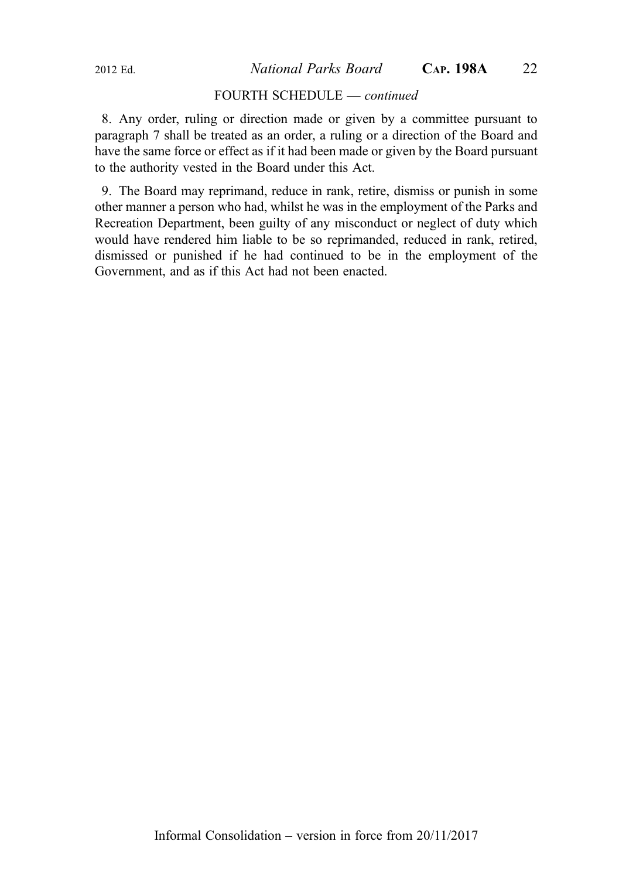2012 Ed. National Parks Board CAP. 198A 22

#### FOURTH SCHEDULE — continued

8. Any order, ruling or direction made or given by a committee pursuant to paragraph 7 shall be treated as an order, a ruling or a direction of the Board and have the same force or effect as if it had been made or given by the Board pursuant to the authority vested in the Board under this Act.

9. The Board may reprimand, reduce in rank, retire, dismiss or punish in some other manner a person who had, whilst he was in the employment of the Parks and Recreation Department, been guilty of any misconduct or neglect of duty which would have rendered him liable to be so reprimanded, reduced in rank, retired, dismissed or punished if he had continued to be in the employment of the Government, and as if this Act had not been enacted.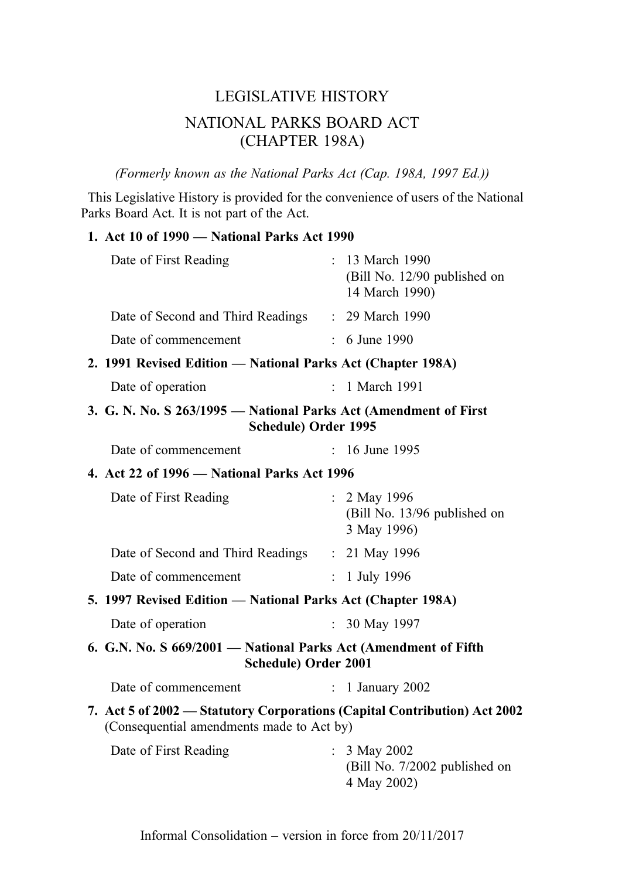# LEGISLATIVE HISTORY NATIONAL PARKS BOARD ACT (CHAPTER 198A)

(Formerly known as the National Parks Act (Cap. 198A, 1997 Ed.))

This Legislative History is provided for the convenience of users of the National Parks Board Act. It is not part of the Act.

# 1. Act 10 of 1990 — National Parks Act 1990

| Date of First Reading                                                                                                  |                           | : 13 March 1990<br>(Bill No. 12/90 published on<br>14 March 1990) |
|------------------------------------------------------------------------------------------------------------------------|---------------------------|-------------------------------------------------------------------|
| Date of Second and Third Readings : 29 March 1990                                                                      |                           |                                                                   |
| Date of commencement                                                                                                   |                           | $: 6$ June 1990                                                   |
| 2. 1991 Revised Edition - National Parks Act (Chapter 198A)                                                            |                           |                                                                   |
| Date of operation                                                                                                      | ÷.                        | 1 March 1991                                                      |
| 3. G. N. No. S 263/1995 - National Parks Act (Amendment of First<br>Schedule) Order 1995                               |                           |                                                                   |
| Date of commencement                                                                                                   | t.                        | 16 June 1995                                                      |
| 4. Act 22 of 1996 - National Parks Act 1996                                                                            |                           |                                                                   |
| Date of First Reading                                                                                                  |                           | : $2$ May 1996<br>(Bill No. 13/96 published on<br>3 May 1996)     |
| Date of Second and Third Readings : 21 May 1996                                                                        |                           |                                                                   |
| Date of commencement                                                                                                   | $\mathcal{L}$             | 1 July 1996                                                       |
| 5. 1997 Revised Edition — National Parks Act (Chapter 198A)                                                            |                           |                                                                   |
| Date of operation                                                                                                      | $\mathbb{R}^{\mathbb{Z}}$ | 30 May 1997                                                       |
| 6. G.N. No. S 669/2001 - National Parks Act (Amendment of Fifth<br>Schedule) Order 2001                                |                           |                                                                   |
| Date of commencement                                                                                                   | $\mathbb{R}^{\mathbb{Z}}$ | 1 January 2002                                                    |
| 7. Act 5 of 2002 – Statutory Corporations (Capital Contribution) Act 2002<br>(Consequential amendments made to Act by) |                           |                                                                   |
| Date of First Reading                                                                                                  |                           | : $3$ May 2002<br>(Bill No. 7/2002 published on<br>4 May 2002)    |
|                                                                                                                        |                           |                                                                   |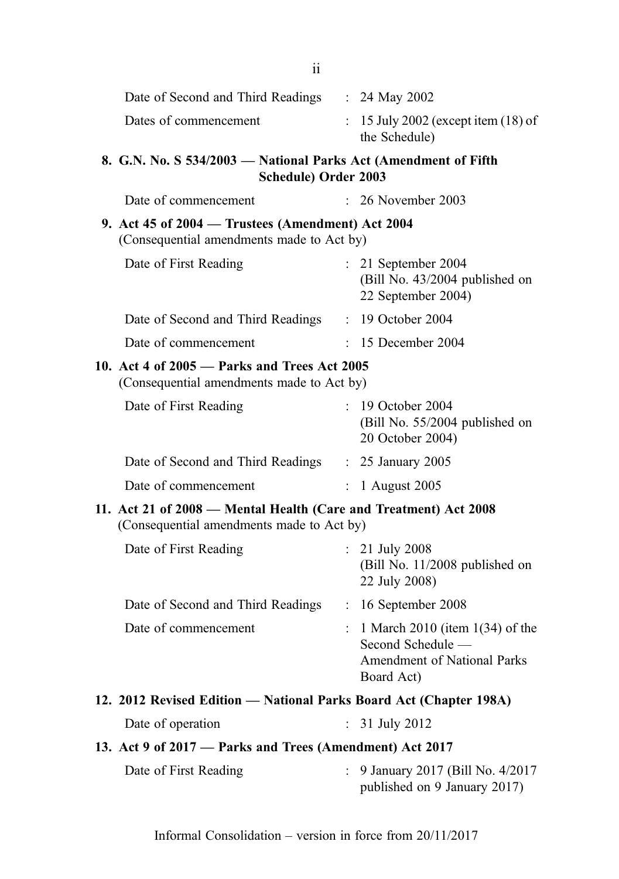| 8. G.N. No. S 534/2003 — National Parks Act (Amendment of Fifth |                                                                 |
|-----------------------------------------------------------------|-----------------------------------------------------------------|
| Dates of commencement                                           | $\therefore$ 15 July 2002 (except item (18) of<br>the Schedule) |
| Date of Second and Third Readings                               | : 24 May 2002                                                   |
|                                                                 |                                                                 |

| - JJ TI LUUJ | $1$ attornar 1 ar K9 7 KG $\mu$ kinch ann |
|--------------|-------------------------------------------|
|              | Schedule) Order 2003                      |

| Date of commencement                                                                                          | $: 26$ November 2003                                                          |
|---------------------------------------------------------------------------------------------------------------|-------------------------------------------------------------------------------|
| 9. Act 45 of $2004$ — Trustees (Amendment) Act $2004$<br>(Consequential amendments made to Act by)            |                                                                               |
| Date of First Reading                                                                                         | $: 21$ September 2004<br>(Bill No. 43/2004 published on<br>22 September 2004) |
| Date of Second and Third Readings                                                                             | : 19 October 2004                                                             |
| Date of commencement                                                                                          | $: 15$ December 2004                                                          |
| 10. Act 4 of 2005 - Parks and Trees Act 2005<br>(Consequential amendments made to Act by)                     |                                                                               |
| Date of First Reading                                                                                         | $: 19$ October 2004<br>(Bill No. 55/2004 published on<br>20 October 2004)     |
| Date of Second and Third Readings : 25 January 2005                                                           |                                                                               |
| Date of commencement                                                                                          | : 1 August 2005                                                               |
| 11. Act 21 of 2008 – Mental Health (Care and Treatment) Act 2008<br>(Consequential amendments made to Act by) |                                                                               |
| Date of First Reading                                                                                         | $: 21$ July 2008<br>(Bill No. 11/2008 published on<br>22 July 2008)           |
|                                                                                                               |                                                                               |

- Date of Second and Third Readings : 16 September 2008 Date of commencement : 1 March 2010 (item 1(34) of the Second Schedule — Amendment of National Parks Board Act)
- 12. 2012 Revised Edition National Parks Board Act (Chapter 198A)
	- Date of operation : 31 July 2012
- 13. Act 9 of 2017 Parks and Trees (Amendment) Act 2017

| Date of First Reading | : 9 January 2017 (Bill No. 4/2017) |
|-----------------------|------------------------------------|
|                       | published on 9 January 2017)       |

ii